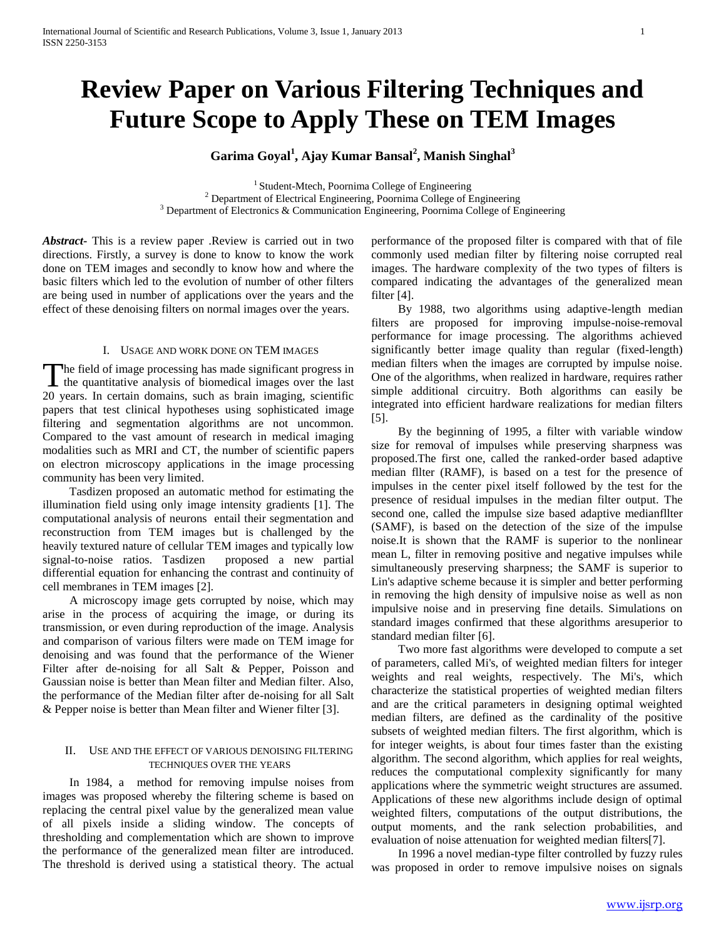# **Review Paper on Various Filtering Techniques and Future Scope to Apply These on TEM Images**

**Garima Goyal<sup>1</sup> , Ajay Kumar Bansal<sup>2</sup> , Manish Singhal<sup>3</sup>**

<sup>1</sup> Student-Mtech, Poornima College of Engineering <sup>2</sup> Department of Electrical Engineering, Poornima College of Engineering <sup>3</sup> Department of Electronics & Communication Engineering, Poornima College of Engineering

*Abstract***-** This is a review paper .Review is carried out in two directions. Firstly, a survey is done to know to know the work done on TEM images and secondly to know how and where the basic filters which led to the evolution of number of other filters are being used in number of applications over the years and the effect of these denoising filters on normal images over the years.

## I. USAGE AND WORK DONE ON TEM IMAGES

The field of image processing has made significant progress in The field of image processing has made significant progress in the quantitative analysis of biomedical images over the last 20 years. In certain domains, such as brain imaging, scientific papers that test clinical hypotheses using sophisticated image filtering and segmentation algorithms are not uncommon. Compared to the vast amount of research in medical imaging modalities such as MRI and CT, the number of scientific papers on electron microscopy applications in the image processing community has been very limited.

 Tasdizen proposed an automatic method for estimating the illumination field using only image intensity gradients [1]. The computational analysis of neurons entail their segmentation and reconstruction from TEM images but is challenged by the heavily textured nature of cellular TEM images and typically low signal-to-noise ratios. Tasdizen proposed a new partial differential equation for enhancing the contrast and continuity of cell membranes in TEM images [2].

 A microscopy image gets corrupted by noise, which may arise in the process of acquiring the image, or during its transmission, or even during reproduction of the image. Analysis and comparison of various filters were made on TEM image for denoising and was found that the performance of the Wiener Filter after de-noising for all Salt & Pepper, Poisson and Gaussian noise is better than Mean filter and Median filter. Also, the performance of the Median filter after de-noising for all Salt & Pepper noise is better than Mean filter and Wiener filter [3].

## II. USE AND THE EFFECT OF VARIOUS DENOISING FILTERING TECHNIQUES OVER THE YEARS

 In 1984, a method for removing impulse noises from images was proposed whereby the filtering scheme is based on replacing the central pixel value by the generalized mean value of all pixels inside a sliding window. The concepts of thresholding and complementation which are shown to improve the performance of the generalized mean filter are introduced. The threshold is derived using a statistical theory. The actual performance of the proposed filter is compared with that of file commonly used median filter by filtering noise corrupted real images. The hardware complexity of the two types of filters is compared indicating the advantages of the generalized mean filter [4].

 By 1988, two algorithms using adaptive-length median filters are proposed for improving impulse-noise-removal performance for image processing. The algorithms achieved significantly better image quality than regular (fixed-length) median filters when the images are corrupted by impulse noise. One of the algorithms, when realized in hardware, requires rather simple additional circuitry. Both algorithms can easily be integrated into efficient hardware realizations for median filters [5].

 By the beginning of 1995, a filter with variable window size for removal of impulses while preserving sharpness was proposed.The first one, called the ranked-order based adaptive median fllter (RAMF), is based on a test for the presence of impulses in the center pixel itself followed by the test for the presence of residual impulses in the median filter output. The second one, called the impulse size based adaptive medianfllter (SAMF), is based on the detection of the size of the impulse noise.It is shown that the RAMF is superior to the nonlinear mean L, filter in removing positive and negative impulses while simultaneously preserving sharpness; the SAMF is superior to Lin's adaptive scheme because it is simpler and better performing in removing the high density of impulsive noise as well as non impulsive noise and in preserving fine details. Simulations on standard images confirmed that these algorithms aresuperior to standard median filter [6].

 Two more fast algorithms were developed to compute a set of parameters, called Mi's, of weighted median filters for integer weights and real weights, respectively. The Mi's, which characterize the statistical properties of weighted median filters and are the critical parameters in designing optimal weighted median filters, are defined as the cardinality of the positive subsets of weighted median filters. The first algorithm, which is for integer weights, is about four times faster than the existing algorithm. The second algorithm, which applies for real weights, reduces the computational complexity significantly for many applications where the symmetric weight structures are assumed. Applications of these new algorithms include design of optimal weighted filters, computations of the output distributions, the output moments, and the rank selection probabilities, and evaluation of noise attenuation for weighted median filters[7].

 In 1996 a novel median-type filter controlled by fuzzy rules was proposed in order to remove impulsive noises on signals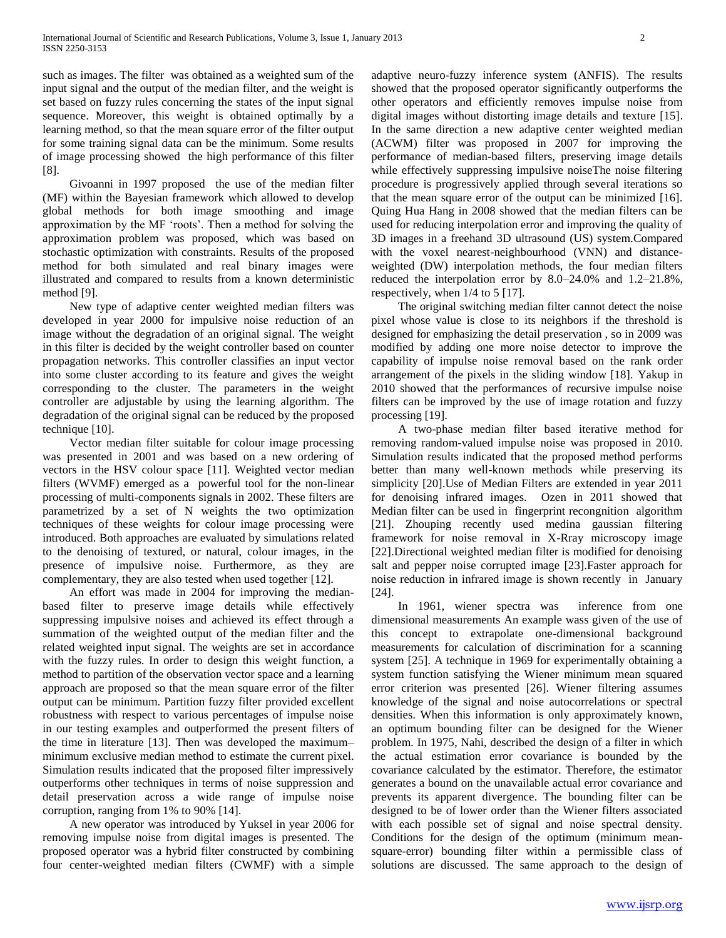such as images. The filter was obtained as a weighted sum of the input signal and the output of the median filter, and the weight is set based on fuzzy rules concerning the states of the input signal sequence. Moreover, this weight is obtained optimally by a learning method, so that the mean square error of the filter output for some training signal data can be the minimum. Some results of image processing showed the high performance of this filter [8].

 Givoanni in 1997 proposed the use of the median filter (MF) within the Bayesian framework which allowed to develop global methods for both image smoothing and image approximation by the MF 'roots'. Then a method for solving the approximation problem was proposed, which was based on stochastic optimization with constraints. Results of the proposed method for both simulated and real binary images were illustrated and compared to results from a known deterministic method [9].

 New type of adaptive center weighted median filters was developed in year 2000 for impulsive noise reduction of an image without the degradation of an original signal. The weight in this filter is decided by the weight controller based on counter propagation networks. This controller classifies an input vector into some cluster according to its feature and gives the weight corresponding to the cluster. The parameters in the weight controller are adjustable by using the learning algorithm. The degradation of the original signal can be reduced by the proposed technique [10].

 Vector median filter suitable for colour image processing was presented in 2001 and was based on a new ordering of vectors in the HSV colour space [11]. Weighted vector median filters (WVMF) emerged as a powerful tool for the non-linear processing of multi-components signals in 2002. These filters are parametrized by a set of N weights the two optimization techniques of these weights for colour image processing were introduced. Both approaches are evaluated by simulations related to the denoising of textured, or natural, colour images, in the presence of impulsive noise. Furthermore, as they are complementary, they are also tested when used together [12].

 An effort was made in 2004 for improving the medianbased filter to preserve image details while effectively suppressing impulsive noises and achieved its effect through a summation of the weighted output of the median filter and the related weighted input signal. The weights are set in accordance with the fuzzy rules. In order to design this weight function, a method to partition of the observation vector space and a learning approach are proposed so that the mean square error of the filter output can be minimum. Partition fuzzy filter provided excellent robustness with respect to various percentages of impulse noise in our testing examples and outperformed the present filters of the time in literature [13]. Then was developed the maximum– minimum exclusive median method to estimate the current pixel. Simulation results indicated that the proposed filter impressively outperforms other techniques in terms of noise suppression and detail preservation across a wide range of impulse noise corruption, ranging from 1% to 90% [14].

 A new operator was introduced by Yuksel in year 2006 for removing impulse noise from digital images is presented. The proposed operator was a hybrid filter constructed by combining four center-weighted median filters (CWMF) with a simple adaptive neuro-fuzzy inference system (ANFIS). The results showed that the proposed operator significantly outperforms the other operators and efficiently removes impulse noise from digital images without distorting image details and texture [15]. In the same direction a new adaptive center weighted median (ACWM) filter was proposed in 2007 for improving the performance of median-based filters, preserving image details while effectively suppressing impulsive noiseThe noise filtering procedure is progressively applied through several iterations so that the mean square error of the output can be minimized [16]. Quing Hua Hang in 2008 showed that the median filters can be used for reducing interpolation error and improving the quality of 3D images in a freehand 3D ultrasound (US) system.Compared with the voxel nearest-neighbourhood (VNN) and distanceweighted (DW) interpolation methods, the four median filters reduced the interpolation error by 8.0–24.0% and 1.2–21.8%, respectively, when 1/4 to 5 [17].

 The original switching median filter cannot detect the noise pixel whose value is close to its neighbors if the threshold is designed for emphasizing the detail preservation , so in 2009 was modified by adding one more noise detector to improve the capability of impulse noise removal based on the rank order arrangement of the pixels in the sliding window [18]. Yakup in 2010 showed that the performances of recursive impulse noise filters can be improved by the use of image rotation and fuzzy processing [19].

 A two-phase median filter based iterative method for removing random-valued impulse noise was proposed in 2010. Simulation results indicated that the proposed method performs better than many well-known methods while preserving its simplicity [20].Use of Median Filters are extended in year 2011 for denoising infrared images. Ozen in 2011 showed that Median filter can be used in fingerprint recongnition algorithm [21]. Zhouping recently used medina gaussian filtering framework for noise removal in X-Rray microscopy image [22].Directional weighted median filter is modified for denoising salt and pepper noise corrupted image [23].Faster approach for noise reduction in infrared image is shown recently in January [24].

 In 1961, wiener spectra was inference from one dimensional measurements An example wass given of the use of this concept to extrapolate one-dimensional background measurements for calculation of discrimination for a scanning system [25]. A technique in 1969 for experimentally obtaining a system function satisfying the Wiener minimum mean squared error criterion was presented [26]. Wiener filtering assumes knowledge of the signal and noise autocorrelations or spectral densities. When this information is only approximately known, an optimum bounding filter can be designed for the Wiener problem. In 1975, Nahi, described the design of a filter in which the actual estimation error covariance is bounded by the covariance calculated by the estimator. Therefore, the estimator generates a bound on the unavailable actual error covariance and prevents its apparent divergence. The bounding filter can be designed to be of lower order than the Wiener filters associated with each possible set of signal and noise spectral density. Conditions for the design of the optimum (minimum meansquare-error) bounding filter within a permissible class of solutions are discussed. The same approach to the design of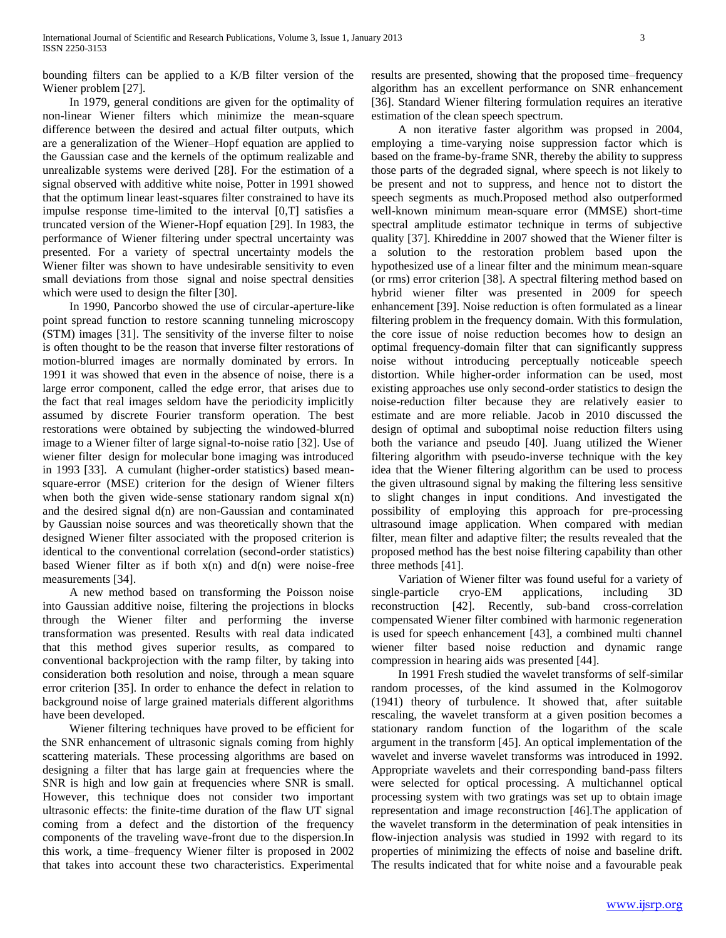bounding filters can be applied to a K/B filter version of the Wiener problem [27].

 In 1979, general conditions are given for the optimality of non-linear Wiener filters which minimize the mean-square difference between the desired and actual filter outputs, which are a generalization of the Wiener–Hopf equation are applied to the Gaussian case and the kernels of the optimum realizable and unrealizable systems were derived [28]. For the estimation of a signal observed with additive white noise, Potter in 1991 showed that the optimum linear least-squares filter constrained to have its impulse response time-limited to the interval [0,T] satisfies a truncated version of the Wiener-Hopf equation [29]. In 1983, the performance of Wiener filtering under spectral uncertainty was presented. For a variety of spectral uncertainty models the Wiener filter was shown to have undesirable sensitivity to even small deviations from those signal and noise spectral densities which were used to design the filter [30].

 In 1990, Pancorbo showed the use of circular-aperture-like point spread function to restore scanning tunneling microscopy (STM) images [31]. The sensitivity of the inverse filter to noise is often thought to be the reason that inverse filter restorations of motion-blurred images are normally dominated by errors. In 1991 it was showed that even in the absence of noise, there is a large error component, called the edge error, that arises due to the fact that real images seldom have the periodicity implicitly assumed by discrete Fourier transform operation. The best restorations were obtained by subjecting the windowed-blurred image to a Wiener filter of large signal-to-noise ratio [32]. Use of wiener filter design for molecular bone imaging was introduced in 1993 [33]. A cumulant (higher-order statistics) based meansquare-error (MSE) criterion for the design of Wiener filters when both the given wide-sense stationary random signal  $x(n)$ and the desired signal d(n) are non-Gaussian and contaminated by Gaussian noise sources and was theoretically shown that the designed Wiener filter associated with the proposed criterion is identical to the conventional correlation (second-order statistics) based Wiener filter as if both  $x(n)$  and  $d(n)$  were noise-free measurements [34].

 A new method based on transforming the Poisson noise into Gaussian additive noise, filtering the projections in blocks through the Wiener filter and performing the inverse transformation was presented. Results with real data indicated that this method gives superior results, as compared to conventional backprojection with the ramp filter, by taking into consideration both resolution and noise, through a mean square error criterion [35]. In order to enhance the defect in relation to background noise of large grained materials different algorithms have been developed.

 Wiener filtering techniques have proved to be efficient for the SNR enhancement of ultrasonic signals coming from highly scattering materials. These processing algorithms are based on designing a filter that has large gain at frequencies where the SNR is high and low gain at frequencies where SNR is small. However, this technique does not consider two important ultrasonic effects: the finite-time duration of the flaw UT signal coming from a defect and the distortion of the frequency components of the traveling wave-front due to the dispersion.In this work, a time–frequency Wiener filter is proposed in 2002 that takes into account these two characteristics. Experimental results are presented, showing that the proposed time–frequency algorithm has an excellent performance on SNR enhancement [36]. Standard Wiener filtering formulation requires an iterative estimation of the clean speech spectrum.

 A non iterative faster algorithm was propsed in 2004, employing a time-varying noise suppression factor which is based on the frame-by-frame SNR, thereby the ability to suppress those parts of the degraded signal, where speech is not likely to be present and not to suppress, and hence not to distort the speech segments as much.Proposed method also outperformed well-known minimum mean-square error (MMSE) short-time spectral amplitude estimator technique in terms of subjective quality [37]. Khireddine in 2007 showed that the Wiener filter is a solution to the restoration problem based upon the hypothesized use of a linear filter and the minimum mean-square (or rms) error criterion [38]. A spectral filtering method based on hybrid wiener filter was presented in 2009 for speech enhancement [39]. Noise reduction is often formulated as a linear filtering problem in the frequency domain. With this formulation, the core issue of noise reduction becomes how to design an optimal frequency-domain filter that can significantly suppress noise without introducing perceptually noticeable speech distortion. While higher-order information can be used, most existing approaches use only second-order statistics to design the noise-reduction filter because they are relatively easier to estimate and are more reliable. Jacob in 2010 discussed the design of optimal and suboptimal noise reduction filters using both the variance and pseudo [40]. Juang utilized the Wiener filtering algorithm with pseudo-inverse technique with the key idea that the Wiener filtering algorithm can be used to process the given ultrasound signal by making the filtering less sensitive to slight changes in input conditions. And investigated the possibility of employing this approach for pre-processing ultrasound image application. When compared with median filter, mean filter and adaptive filter; the results revealed that the proposed method has the best noise filtering capability than other three methods [41].

 Variation of Wiener filter was found useful for a variety of single-particle cryo-EM applications, including 3D reconstruction [42]. Recently, sub-band cross-correlation compensated Wiener filter combined with harmonic regeneration is used for speech enhancement [43], a combined multi channel wiener filter based noise reduction and dynamic range compression in hearing aids was presented [44].

 In 1991 Fresh studied the wavelet transforms of self-similar random processes, of the kind assumed in the Kolmogorov (1941) theory of turbulence. It showed that, after suitable rescaling, the wavelet transform at a given position becomes a stationary random function of the logarithm of the scale argument in the transform [45]. An optical implementation of the wavelet and inverse wavelet transforms was introduced in 1992. Appropriate wavelets and their corresponding band-pass filters were selected for optical processing. A multichannel optical processing system with two gratings was set up to obtain image representation and image reconstruction [46].The application of the wavelet transform in the determination of peak intensities in flow-injection analysis was studied in 1992 with regard to its properties of minimizing the effects of noise and baseline drift. The results indicated that for white noise and a favourable peak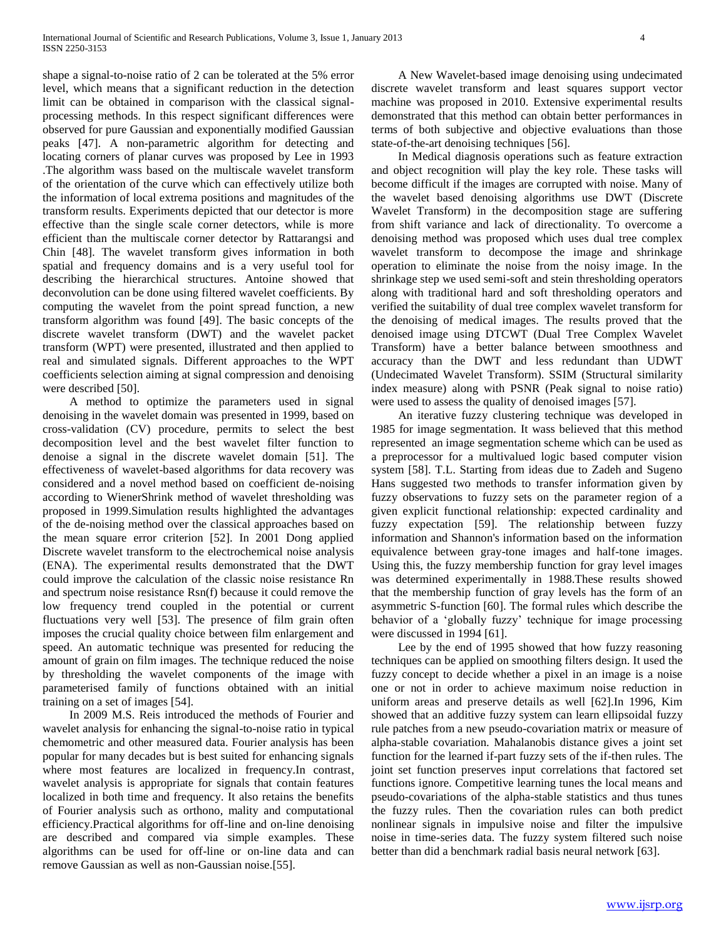shape a signal-to-noise ratio of 2 can be tolerated at the 5% error level, which means that a significant reduction in the detection limit can be obtained in comparison with the classical signalprocessing methods. In this respect significant differences were observed for pure Gaussian and exponentially modified Gaussian peaks [47]. A non-parametric algorithm for detecting and locating corners of planar curves was proposed by Lee in 1993 .The algorithm wass based on the multiscale wavelet transform of the orientation of the curve which can effectively utilize both the information of local extrema positions and magnitudes of the transform results. Experiments depicted that our detector is more effective than the single scale corner detectors, while is more efficient than the multiscale corner detector by Rattarangsi and Chin [48]. The wavelet transform gives information in both spatial and frequency domains and is a very useful tool for describing the hierarchical structures. Antoine showed that deconvolution can be done using filtered wavelet coefficients. By computing the wavelet from the point spread function, a new transform algorithm was found [49]. The basic concepts of the discrete wavelet transform (DWT) and the wavelet packet transform (WPT) were presented, illustrated and then applied to real and simulated signals. Different approaches to the WPT coefficients selection aiming at signal compression and denoising were described [50].

 A method to optimize the parameters used in signal denoising in the wavelet domain was presented in 1999, based on cross-validation (CV) procedure, permits to select the best decomposition level and the best wavelet filter function to denoise a signal in the discrete wavelet domain [51]. The effectiveness of wavelet-based algorithms for data recovery was considered and a novel method based on coefficient de-noising according to WienerShrink method of wavelet thresholding was proposed in 1999.Simulation results highlighted the advantages of the de-noising method over the classical approaches based on the mean square error criterion [52]. In 2001 Dong applied Discrete wavelet transform to the electrochemical noise analysis (ENA). The experimental results demonstrated that the DWT could improve the calculation of the classic noise resistance Rn and spectrum noise resistance Rsn(f) because it could remove the low frequency trend coupled in the potential or current fluctuations very well [53]. The presence of film grain often imposes the crucial quality choice between film enlargement and speed. An automatic technique was presented for reducing the amount of grain on film images. The technique reduced the noise by thresholding the wavelet components of the image with parameterised family of functions obtained with an initial training on a set of images [54].

 In 2009 M.S. Reis introduced the methods of Fourier and wavelet analysis for enhancing the signal-to-noise ratio in typical chemometric and other measured data. Fourier analysis has been popular for many decades but is best suited for enhancing signals where most features are localized in frequency.In contrast, wavelet analysis is appropriate for signals that contain features localized in both time and frequency. It also retains the benefits of Fourier analysis such as orthono, mality and computational efficiency.Practical algorithms for off-line and on-line denoising are described and compared via simple examples. These algorithms can be used for off-line or on-line data and can remove Gaussian as well as non-Gaussian noise.[55].

 A New Wavelet-based image denoising using undecimated discrete wavelet transform and least squares support vector machine was proposed in 2010. Extensive experimental results demonstrated that this method can obtain better performances in terms of both subjective and objective evaluations than those state-of-the-art denoising techniques [56].

 In Medical diagnosis operations such as feature extraction and object recognition will play the key role. These tasks will become difficult if the images are corrupted with noise. Many of the wavelet based denoising algorithms use DWT (Discrete Wavelet Transform) in the decomposition stage are suffering from shift variance and lack of directionality. To overcome a denoising method was proposed which uses dual tree complex wavelet transform to decompose the image and shrinkage operation to eliminate the noise from the noisy image. In the shrinkage step we used semi-soft and stein thresholding operators along with traditional hard and soft thresholding operators and verified the suitability of dual tree complex wavelet transform for the denoising of medical images. The results proved that the denoised image using DTCWT (Dual Tree Complex Wavelet Transform) have a better balance between smoothness and accuracy than the DWT and less redundant than UDWT (Undecimated Wavelet Transform). SSIM (Structural similarity index measure) along with PSNR (Peak signal to noise ratio) were used to assess the quality of denoised images [57].

 An iterative fuzzy clustering technique was developed in 1985 for image segmentation. It wass believed that this method represented an image segmentation scheme which can be used as a preprocessor for a multivalued logic based computer vision system [58]. T.L. Starting from ideas due to Zadeh and Sugeno Hans suggested two methods to transfer information given by fuzzy observations to fuzzy sets on the parameter region of a given explicit functional relationship: expected cardinality and fuzzy expectation [59]. The relationship between fuzzy information and Shannon's information based on the information equivalence between gray-tone images and half-tone images. Using this, the fuzzy membership function for gray level images was determined experimentally in 1988.These results showed that the membership function of gray levels has the form of an asymmetric S-function [60]. The formal rules which describe the behavior of a 'globally fuzzy' technique for image processing were discussed in 1994 [61].

 Lee by the end of 1995 showed that how fuzzy reasoning techniques can be applied on smoothing filters design. It used the fuzzy concept to decide whether a pixel in an image is a noise one or not in order to achieve maximum noise reduction in uniform areas and preserve details as well [62].In 1996, Kim showed that an additive fuzzy system can learn ellipsoidal fuzzy rule patches from a new pseudo-covariation matrix or measure of alpha-stable covariation. Mahalanobis distance gives a joint set function for the learned if-part fuzzy sets of the if-then rules. The joint set function preserves input correlations that factored set functions ignore. Competitive learning tunes the local means and pseudo-covariations of the alpha-stable statistics and thus tunes the fuzzy rules. Then the covariation rules can both predict nonlinear signals in impulsive noise and filter the impulsive noise in time-series data. The fuzzy system filtered such noise better than did a benchmark radial basis neural network [63].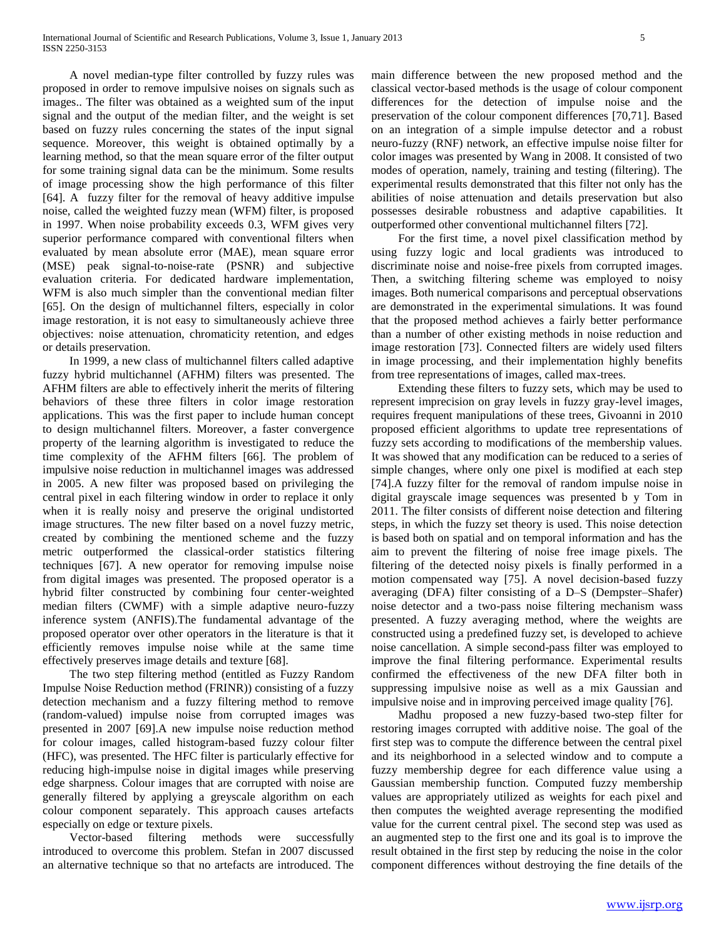A novel median-type filter controlled by fuzzy rules was proposed in order to remove impulsive noises on signals such as images.. The filter was obtained as a weighted sum of the input signal and the output of the median filter, and the weight is set based on fuzzy rules concerning the states of the input signal sequence. Moreover, this weight is obtained optimally by a learning method, so that the mean square error of the filter output for some training signal data can be the minimum. Some results of image processing show the high performance of this filter [64]. A fuzzy filter for the removal of heavy additive impulse noise, called the weighted fuzzy mean (WFM) filter, is proposed in 1997. When noise probability exceeds 0.3, WFM gives very superior performance compared with conventional filters when evaluated by mean absolute error (MAE), mean square error (MSE) peak signal-to-noise-rate (PSNR) and subjective evaluation criteria. For dedicated hardware implementation, WFM is also much simpler than the conventional median filter [65]. On the design of multichannel filters, especially in color image restoration, it is not easy to simultaneously achieve three objectives: noise attenuation, chromaticity retention, and edges or details preservation.

 In 1999, a new class of multichannel filters called adaptive fuzzy hybrid multichannel (AFHM) filters was presented. The AFHM filters are able to effectively inherit the merits of filtering behaviors of these three filters in color image restoration applications. This was the first paper to include human concept to design multichannel filters. Moreover, a faster convergence property of the learning algorithm is investigated to reduce the time complexity of the AFHM filters [66]. The problem of impulsive noise reduction in multichannel images was addressed in 2005. A new filter was proposed based on privileging the central pixel in each filtering window in order to replace it only when it is really noisy and preserve the original undistorted image structures. The new filter based on a novel fuzzy metric, created by combining the mentioned scheme and the fuzzy metric outperformed the classical-order statistics filtering techniques [67]. A new operator for removing impulse noise from digital images was presented. The proposed operator is a hybrid filter constructed by combining four center-weighted median filters (CWMF) with a simple adaptive neuro-fuzzy inference system (ANFIS).The fundamental advantage of the proposed operator over other operators in the literature is that it efficiently removes impulse noise while at the same time effectively preserves image details and texture [68].

 The two step filtering method (entitled as Fuzzy Random Impulse Noise Reduction method (FRINR)) consisting of a fuzzy detection mechanism and a fuzzy filtering method to remove (random-valued) impulse noise from corrupted images was presented in 2007 [69].A new impulse noise reduction method for colour images, called histogram-based fuzzy colour filter (HFC), was presented. The HFC filter is particularly effective for reducing high-impulse noise in digital images while preserving edge sharpness. Colour images that are corrupted with noise are generally filtered by applying a greyscale algorithm on each colour component separately. This approach causes artefacts especially on edge or texture pixels.

 Vector-based filtering methods were successfully introduced to overcome this problem. Stefan in 2007 discussed an alternative technique so that no artefacts are introduced. The main difference between the new proposed method and the classical vector-based methods is the usage of colour component differences for the detection of impulse noise and the preservation of the colour component differences [70,71]. Based on an integration of a simple impulse detector and a robust neuro-fuzzy (RNF) network, an effective impulse noise filter for color images was presented by Wang in 2008. It consisted of two modes of operation, namely, training and testing (filtering). The experimental results demonstrated that this filter not only has the abilities of noise attenuation and details preservation but also possesses desirable robustness and adaptive capabilities. It outperformed other conventional multichannel filters [72].

 For the first time, a novel pixel classification method by using fuzzy logic and local gradients was introduced to discriminate noise and noise-free pixels from corrupted images. Then, a switching filtering scheme was employed to noisy images. Both numerical comparisons and perceptual observations are demonstrated in the experimental simulations. It was found that the proposed method achieves a fairly better performance than a number of other existing methods in noise reduction and image restoration [73]. Connected filters are widely used filters in image processing, and their implementation highly benefits from tree representations of images, called max-trees.

 Extending these filters to fuzzy sets, which may be used to represent imprecision on gray levels in fuzzy gray-level images, requires frequent manipulations of these trees, Givoanni in 2010 proposed efficient algorithms to update tree representations of fuzzy sets according to modifications of the membership values. It was showed that any modification can be reduced to a series of simple changes, where only one pixel is modified at each step [74].A fuzzy filter for the removal of random impulse noise in digital grayscale image sequences was presented b y Tom in 2011. The filter consists of different noise detection and filtering steps, in which the fuzzy set theory is used. This noise detection is based both on spatial and on temporal information and has the aim to prevent the filtering of noise free image pixels. The filtering of the detected noisy pixels is finally performed in a motion compensated way [75]. A novel decision-based fuzzy averaging (DFA) filter consisting of a D–S (Dempster–Shafer) noise detector and a two-pass noise filtering mechanism wass presented. A fuzzy averaging method, where the weights are constructed using a predefined fuzzy set, is developed to achieve noise cancellation. A simple second-pass filter was employed to improve the final filtering performance. Experimental results confirmed the effectiveness of the new DFA filter both in suppressing impulsive noise as well as a mix Gaussian and impulsive noise and in improving perceived image quality [76].

 Madhu proposed a new fuzzy-based two-step filter for restoring images corrupted with additive noise. The goal of the first step was to compute the difference between the central pixel and its neighborhood in a selected window and to compute a fuzzy membership degree for each difference value using a Gaussian membership function. Computed fuzzy membership values are appropriately utilized as weights for each pixel and then computes the weighted average representing the modified value for the current central pixel. The second step was used as an augmented step to the first one and its goal is to improve the result obtained in the first step by reducing the noise in the color component differences without destroying the fine details of the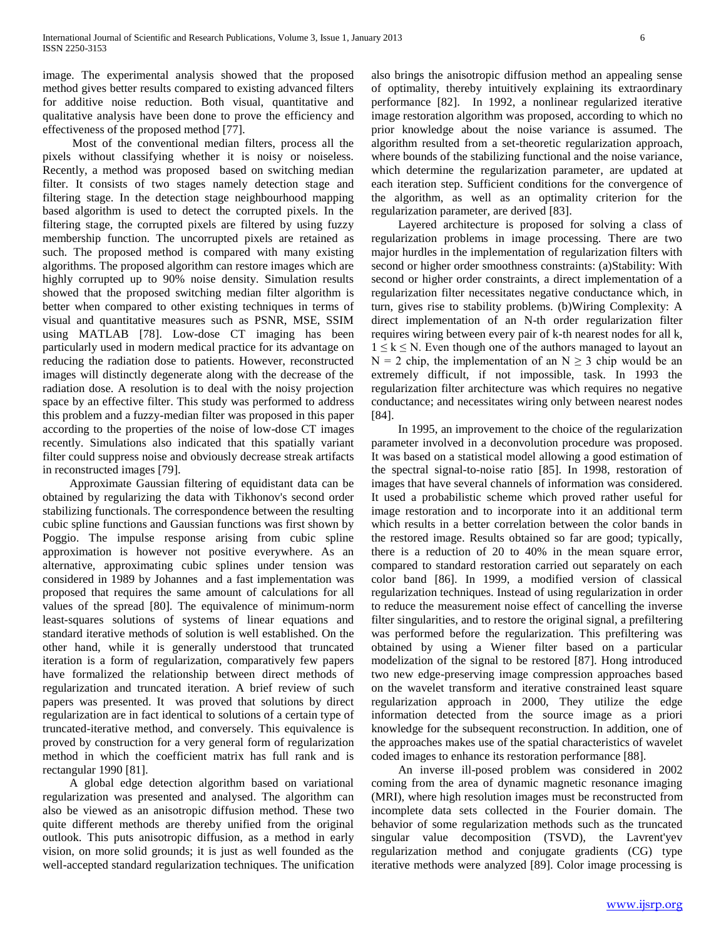image. The experimental analysis showed that the proposed method gives better results compared to existing advanced filters for additive noise reduction. Both visual, quantitative and qualitative analysis have been done to prove the efficiency and effectiveness of the proposed method [77].

 Most of the conventional median filters, process all the pixels without classifying whether it is noisy or noiseless. Recently, a method was proposed based on switching median filter. It consists of two stages namely detection stage and filtering stage. In the detection stage neighbourhood mapping based algorithm is used to detect the corrupted pixels. In the filtering stage, the corrupted pixels are filtered by using fuzzy membership function. The uncorrupted pixels are retained as such. The proposed method is compared with many existing algorithms. The proposed algorithm can restore images which are highly corrupted up to 90% noise density. Simulation results showed that the proposed switching median filter algorithm is better when compared to other existing techniques in terms of visual and quantitative measures such as PSNR, MSE, SSIM using MATLAB [78]. Low-dose CT imaging has been particularly used in modern medical practice for its advantage on reducing the radiation dose to patients. However, reconstructed images will distinctly degenerate along with the decrease of the radiation dose. A resolution is to deal with the noisy projection space by an effective filter. This study was performed to address this problem and a fuzzy-median filter was proposed in this paper according to the properties of the noise of low-dose CT images recently. Simulations also indicated that this spatially variant filter could suppress noise and obviously decrease streak artifacts in reconstructed images [79].

 Approximate Gaussian filtering of equidistant data can be obtained by regularizing the data with Tikhonov's second order stabilizing functionals. The correspondence between the resulting cubic spline functions and Gaussian functions was first shown by Poggio. The impulse response arising from cubic spline approximation is however not positive everywhere. As an alternative, approximating cubic splines under tension was considered in 1989 by Johannes and a fast implementation was proposed that requires the same amount of calculations for all values of the spread [80]. The equivalence of minimum-norm least-squares solutions of systems of linear equations and standard iterative methods of solution is well established. On the other hand, while it is generally understood that truncated iteration is a form of regularization, comparatively few papers have formalized the relationship between direct methods of regularization and truncated iteration. A brief review of such papers was presented. It was proved that solutions by direct regularization are in fact identical to solutions of a certain type of truncated-iterative method, and conversely. This equivalence is proved by construction for a very general form of regularization method in which the coefficient matrix has full rank and is rectangular 1990 [81].

 A global edge detection algorithm based on variational regularization was presented and analysed. The algorithm can also be viewed as an anisotropic diffusion method. These two quite different methods are thereby unified from the original outlook. This puts anisotropic diffusion, as a method in early vision, on more solid grounds; it is just as well founded as the well-accepted standard regularization techniques. The unification

also brings the anisotropic diffusion method an appealing sense of optimality, thereby intuitively explaining its extraordinary performance [82]. In 1992, a nonlinear regularized iterative image restoration algorithm was proposed, according to which no prior knowledge about the noise variance is assumed. The algorithm resulted from a set-theoretic regularization approach, where bounds of the stabilizing functional and the noise variance, which determine the regularization parameter, are updated at each iteration step. Sufficient conditions for the convergence of the algorithm, as well as an optimality criterion for the regularization parameter, are derived [83].

 Layered architecture is proposed for solving a class of regularization problems in image processing. There are two major hurdles in the implementation of regularization filters with second or higher order smoothness constraints: (a)Stability: With second or higher order constraints, a direct implementation of a regularization filter necessitates negative conductance which, in turn, gives rise to stability problems. (b)Wiring Complexity: A direct implementation of an N-th order regularization filter requires wiring between every pair of k-th nearest nodes for all k,  $1 \leq k \leq N$ . Even though one of the authors managed to layout an  $N = 2$  chip, the implementation of an  $N \ge 3$  chip would be an extremely difficult, if not impossible, task. In 1993 the regularization filter architecture was which requires no negative conductance; and necessitates wiring only between nearest nodes [84].

 In 1995, an improvement to the choice of the regularization parameter involved in a deconvolution procedure was proposed. It was based on a statistical model allowing a good estimation of the spectral signal-to-noise ratio [85]. In 1998, restoration of images that have several channels of information was considered. It used a probabilistic scheme which proved rather useful for image restoration and to incorporate into it an additional term which results in a better correlation between the color bands in the restored image. Results obtained so far are good; typically, there is a reduction of 20 to 40% in the mean square error, compared to standard restoration carried out separately on each color band [86]. In 1999, a modified version of classical regularization techniques. Instead of using regularization in order to reduce the measurement noise effect of cancelling the inverse filter singularities, and to restore the original signal, a prefiltering was performed before the regularization. This prefiltering was obtained by using a Wiener filter based on a particular modelization of the signal to be restored [87]. Hong introduced two new edge-preserving image compression approaches based on the wavelet transform and iterative constrained least square regularization approach in 2000, They utilize the edge information detected from the source image as a priori knowledge for the subsequent reconstruction. In addition, one of the approaches makes use of the spatial characteristics of wavelet coded images to enhance its restoration performance [88].

 An inverse ill-posed problem was considered in 2002 coming from the area of dynamic magnetic resonance imaging (MRI), where high resolution images must be reconstructed from incomplete data sets collected in the Fourier domain. The behavior of some regularization methods such as the truncated singular value decomposition (TSVD), the Lavrent'yev regularization method and conjugate gradients (CG) type iterative methods were analyzed [89]. Color image processing is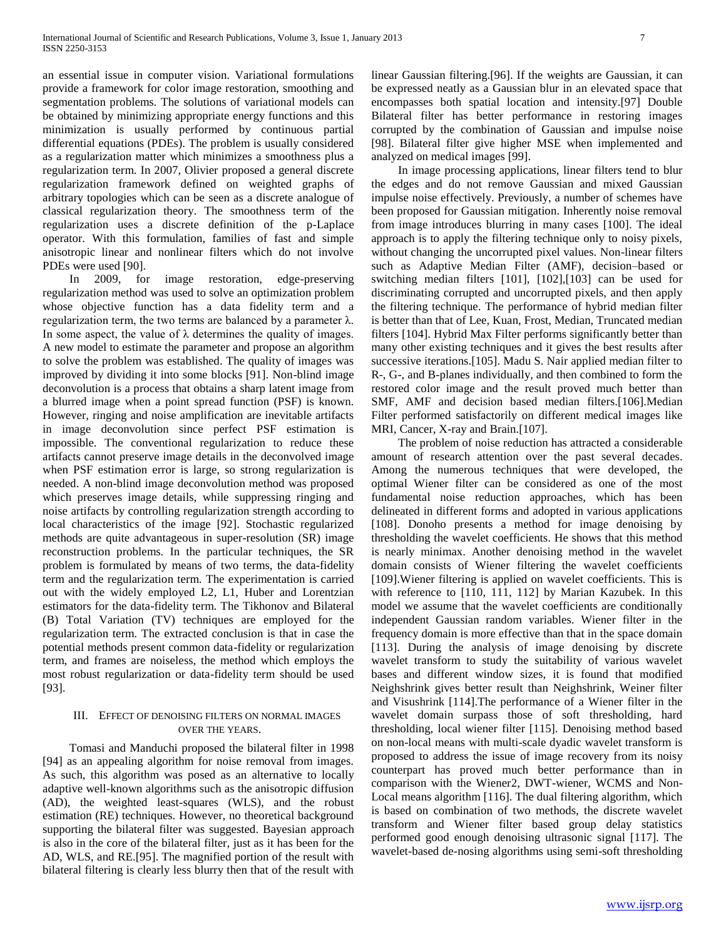an essential issue in computer vision. Variational formulations provide a framework for color image restoration, smoothing and segmentation problems. The solutions of variational models can be obtained by minimizing appropriate energy functions and this minimization is usually performed by continuous partial differential equations (PDEs). The problem is usually considered as a regularization matter which minimizes a smoothness plus a regularization term. In 2007, Olivier proposed a general discrete regularization framework defined on weighted graphs of arbitrary topologies which can be seen as a discrete analogue of classical regularization theory. The smoothness term of the regularization uses a discrete definition of the p-Laplace operator. With this formulation, families of fast and simple anisotropic linear and nonlinear filters which do not involve PDEs were used [90].

 In 2009, for image restoration, edge-preserving regularization method was used to solve an optimization problem whose objective function has a data fidelity term and a regularization term, the two terms are balanced by a parameter λ. In some aspect, the value of  $\lambda$  determines the quality of images. A new model to estimate the parameter and propose an algorithm to solve the problem was established. The quality of images was improved by dividing it into some blocks [91]. Non-blind image deconvolution is a process that obtains a sharp latent image from a blurred image when a point spread function (PSF) is known. However, ringing and noise amplification are inevitable artifacts in image deconvolution since perfect PSF estimation is impossible. The conventional regularization to reduce these artifacts cannot preserve image details in the deconvolved image when PSF estimation error is large, so strong regularization is needed. A non-blind image deconvolution method was proposed which preserves image details, while suppressing ringing and noise artifacts by controlling regularization strength according to local characteristics of the image [92]. Stochastic regularized methods are quite advantageous in super-resolution (SR) image reconstruction problems. In the particular techniques, the SR problem is formulated by means of two terms, the data-fidelity term and the regularization term. The experimentation is carried out with the widely employed L2, L1, Huber and Lorentzian estimators for the data-fidelity term. The Tikhonov and Bilateral (B) Total Variation (TV) techniques are employed for the regularization term. The extracted conclusion is that in case the potential methods present common data-fidelity or regularization term, and frames are noiseless, the method which employs the most robust regularization or data-fidelity term should be used [93].

# III. EFFECT OF DENOISING FILTERS ON NORMAL IMAGES OVER THE YEARS.

 Tomasi and Manduchi proposed the bilateral filter in 1998 [94] as an appealing algorithm for noise removal from images. As such, this algorithm was posed as an alternative to locally adaptive well-known algorithms such as the anisotropic diffusion (AD), the weighted least-squares (WLS), and the robust estimation (RE) techniques. However, no theoretical background supporting the bilateral filter was suggested. Bayesian approach is also in the core of the bilateral filter, just as it has been for the AD, WLS, and RE.[95]. The magnified portion of the result with bilateral filtering is clearly less blurry then that of the result with

linear Gaussian filtering.[96]. If the weights are Gaussian, it can be expressed neatly as a Gaussian blur in an elevated space that encompasses both spatial location and intensity.[97] Double Bilateral filter has better performance in restoring images corrupted by the combination of Gaussian and impulse noise [98]. Bilateral filter give higher MSE when implemented and analyzed on medical images [99].

 In image processing applications, linear filters tend to blur the edges and do not remove Gaussian and mixed Gaussian impulse noise effectively. Previously, a number of schemes have been proposed for Gaussian mitigation. Inherently noise removal from image introduces blurring in many cases [100]. The ideal approach is to apply the filtering technique only to noisy pixels, without changing the uncorrupted pixel values. Non-linear filters such as Adaptive Median Filter (AMF), decision–based or switching median filters [101], [102],[103] can be used for discriminating corrupted and uncorrupted pixels, and then apply the filtering technique. The performance of hybrid median filter is better than that of Lee, Kuan, Frost, Median, Truncated median filters [104]. Hybrid Max Filter performs significantly better than many other existing techniques and it gives the best results after successive iterations.[105]. Madu S. Nair applied median filter to R-, G-, and B-planes individually, and then combined to form the restored color image and the result proved much better than SMF, AMF and decision based median filters.[106].Median Filter performed satisfactorily on different medical images like MRI, Cancer, X-ray and Brain.[107].

 The problem of noise reduction has attracted a considerable amount of research attention over the past several decades. Among the numerous techniques that were developed, the optimal Wiener filter can be considered as one of the most fundamental noise reduction approaches, which has been delineated in different forms and adopted in various applications [108]. Donoho presents a method for image denoising by thresholding the wavelet coefficients. He shows that this method is nearly minimax. Another denoising method in the wavelet domain consists of Wiener filtering the wavelet coefficients [109].Wiener filtering is applied on wavelet coefficients. This is with reference to [110, 111, 112] by Marian Kazubek. In this model we assume that the wavelet coefficients are conditionally independent Gaussian random variables. Wiener filter in the frequency domain is more effective than that in the space domain [113]. During the analysis of image denoising by discrete wavelet transform to study the suitability of various wavelet bases and different window sizes, it is found that modified Neighshrink gives better result than Neighshrink, Weiner filter and Visushrink [114].The performance of a Wiener filter in the wavelet domain surpass those of soft thresholding, hard thresholding, local wiener filter [115]. Denoising method based on non-local means with multi-scale dyadic wavelet transform is proposed to address the issue of image recovery from its noisy counterpart has proved much better performance than in comparison with the Wiener2, DWT-wiener, WCMS and Non-Local means algorithm [116]. The dual filtering algorithm, which is based on combination of two methods, the discrete wavelet transform and Wiener filter based group delay statistics performed good enough denoising ultrasonic signal [117]. The wavelet-based de-nosing algorithms using semi-soft thresholding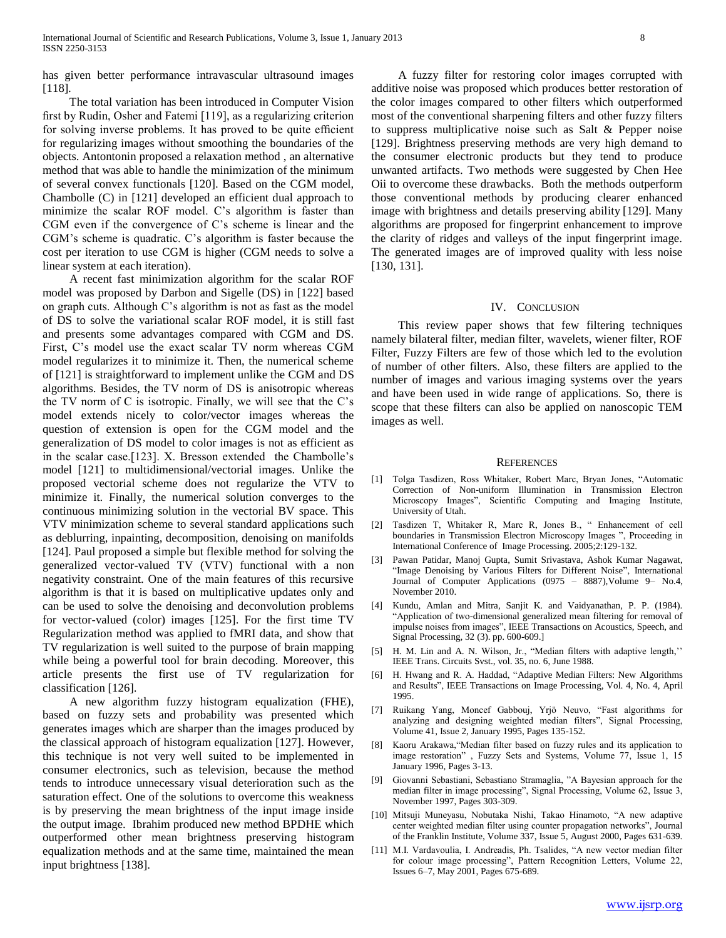has given better performance intravascular ultrasound images [118].

 The total variation has been introduced in Computer Vision first by Rudin, Osher and Fatemi [119], as a regularizing criterion for solving inverse problems. It has proved to be quite efficient for regularizing images without smoothing the boundaries of the objects. Antontonin proposed a relaxation method , an alternative method that was able to handle the minimization of the minimum of several convex functionals [120]. Based on the CGM model, Chambolle (C) in [121] developed an efficient dual approach to minimize the scalar ROF model. C's algorithm is faster than CGM even if the convergence of C's scheme is linear and the CGM's scheme is quadratic. C's algorithm is faster because the cost per iteration to use CGM is higher (CGM needs to solve a linear system at each iteration).

 A recent fast minimization algorithm for the scalar ROF model was proposed by Darbon and Sigelle (DS) in [122] based on graph cuts. Although C's algorithm is not as fast as the model of DS to solve the variational scalar ROF model, it is still fast and presents some advantages compared with CGM and DS. First, C's model use the exact scalar TV norm whereas CGM model regularizes it to minimize it. Then, the numerical scheme of [121] is straightforward to implement unlike the CGM and DS algorithms. Besides, the TV norm of DS is anisotropic whereas the TV norm of C is isotropic. Finally, we will see that the C's model extends nicely to color/vector images whereas the question of extension is open for the CGM model and the generalization of DS model to color images is not as efficient as in the scalar case.[123]. X. Bresson extended the Chambolle's model [121] to multidimensional/vectorial images. Unlike the proposed vectorial scheme does not regularize the VTV to minimize it. Finally, the numerical solution converges to the continuous minimizing solution in the vectorial BV space. This VTV minimization scheme to several standard applications such as deblurring, inpainting, decomposition, denoising on manifolds [124]. Paul proposed a simple but flexible method for solving the generalized vector-valued TV (VTV) functional with a non negativity constraint. One of the main features of this recursive algorithm is that it is based on multiplicative updates only and can be used to solve the denoising and deconvolution problems for vector-valued (color) images [125]. For the first time TV Regularization method was applied to fMRI data, and show that TV regularization is well suited to the purpose of brain mapping while being a powerful tool for brain decoding. Moreover, this article presents the first use of TV regularization for classification [126].

 A new algorithm fuzzy histogram equalization (FHE), based on fuzzy sets and probability was presented which generates images which are sharper than the images produced by the classical approach of histogram equalization [127]. However, this technique is not very well suited to be implemented in consumer electronics, such as television, because the method tends to introduce unnecessary visual deterioration such as the saturation effect. One of the solutions to overcome this weakness is by preserving the mean brightness of the input image inside the output image. Ibrahim produced new method BPDHE which outperformed other mean brightness preserving histogram equalization methods and at the same time, maintained the mean input brightness [138].

 A fuzzy filter for restoring color images corrupted with additive noise was proposed which produces better restoration of the color images compared to other filters which outperformed most of the conventional sharpening filters and other fuzzy filters to suppress multiplicative noise such as Salt & Pepper noise [129]. Brightness preserving methods are very high demand to the consumer electronic products but they tend to produce unwanted artifacts. Two methods were suggested by Chen Hee Oii to overcome these drawbacks. Both the methods outperform those conventional methods by producing clearer enhanced image with brightness and details preserving ability [129]. Many algorithms are proposed for fingerprint enhancement to improve the clarity of ridges and valleys of the input fingerprint image. The generated images are of improved quality with less noise [130, 131].

### IV. CONCLUSION

 This review paper shows that few filtering techniques namely bilateral filter, median filter, wavelets, wiener filter, ROF Filter, Fuzzy Filters are few of those which led to the evolution of number of other filters. Also, these filters are applied to the number of images and various imaging systems over the years and have been used in wide range of applications. So, there is scope that these filters can also be applied on nanoscopic TEM images as well.

#### **REFERENCES**

- [1] Tolga Tasdizen, Ross Whitaker, Robert Marc, Bryan Jones, "Automatic Correction of Non-uniform Illumination in Transmission Electron Microscopy Images", Scientific Computing and Imaging Institute, University of Utah.
- [2] Tasdizen T, Whitaker R, Marc R, Jones B., " Enhancement of cell boundaries in Transmission Electron Microscopy Images ", Proceeding in International Conference of Image Processing. 2005;2:129-132.
- [3] Pawan Patidar, Manoj Gupta, Sumit Srivastava, Ashok Kumar Nagawat, "Image Denoising by Various Filters for Different Noise", International Journal of Computer Applications (0975 – 8887),Volume 9– No.4, November 2010.
- [4] Kundu, Amlan and Mitra, Sanjit K. and Vaidyanathan, P. P. (1984). "Application of two-dimensional generalized mean filtering for removal of impulse noises from images", IEEE Transactions on Acoustics, Speech, and Signal Processing, 32 (3). pp. 600-609.]
- [5] H. M. Lin and A. N. Wilson, Jr., "Median filters with adaptive length,'' IEEE Trans. Circuits Svst., vol. 35, no. 6, June 1988.
- [6] H. Hwang and R. A. Haddad, "Adaptive Median Filters: New Algorithms and Results", IEEE Transactions on Image Processing, Vol. 4, No. 4, April 1995.
- [7] Ruikang Yang, Moncef Gabbouj, Yrjö Neuvo, "Fast algorithms for analyzing and designing weighted median filters", Signal Processing, Volume 41, Issue 2, January 1995, Pages 135-152.
- [8] Kaoru Arakawa,"Median filter based on fuzzy rules and its application to image restoration" , Fuzzy Sets and Systems, Volume 77, Issue 1, 15 January 1996, Pages 3-13.
- [9] Giovanni Sebastiani, Sebastiano Stramaglia, "A Bayesian approach for the median filter in image processing", Signal Processing, Volume 62, Issue 3, November 1997, Pages 303-309.
- [10] Mitsuji Muneyasu, Nobutaka Nishi, Takao Hinamoto, "A new adaptive center weighted median filter using counter propagation networks", Journal of the Franklin Institute, Volume 337, Issue 5, August 2000, Pages 631-639.
- [11] M.I. Vardavoulia, I. Andreadis, Ph. Tsalides, "A new vector median filter for colour image processing", Pattern Recognition Letters, Volume 22, Issues 6–7, May 2001, Pages 675-689.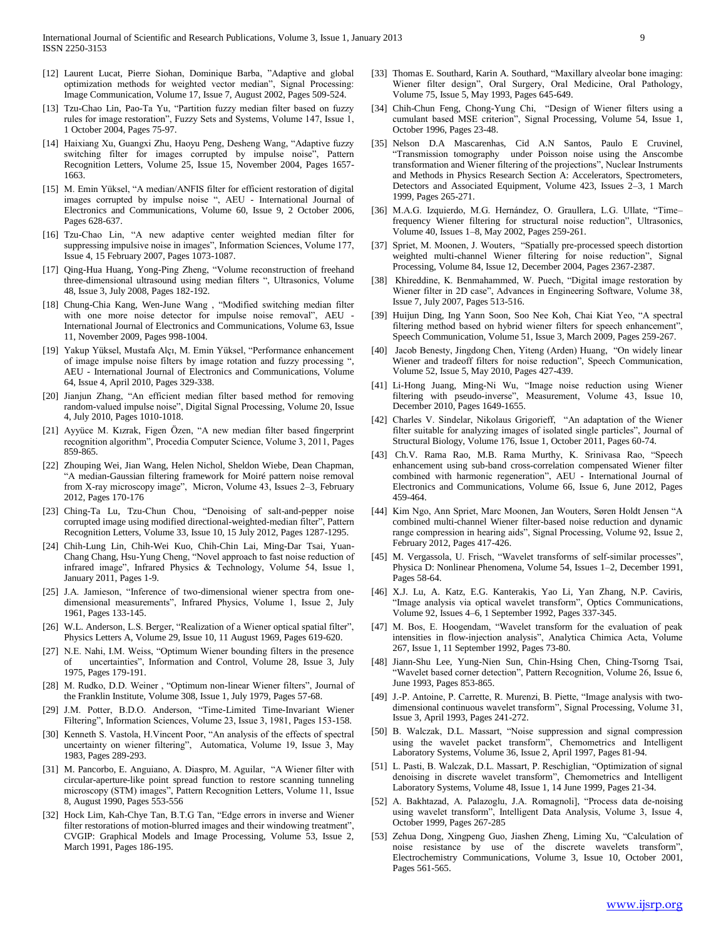- [12] Laurent Lucat, Pierre Siohan, Dominique Barba, "Adaptive and global optimization methods for weighted vector median", Signal Processing: Image Communication, Volume 17, Issue 7, August 2002, Pages 509-524.
- [13] Tzu-Chao Lin, Pao-Ta Yu, "Partition fuzzy median filter based on fuzzy rules for image restoration", Fuzzy Sets and Systems, Volume 147, Issue 1, 1 October 2004, Pages 75-97.
- [14] Haixiang Xu, Guangxi Zhu, Haoyu Peng, Desheng Wang, "Adaptive fuzzy switching filter for images corrupted by impulse noise", Pattern Recognition Letters, Volume 25, Issue 15, November 2004, Pages 1657- 1663.
- [15] M. Emin Yüksel, "A median/ANFIS filter for efficient restoration of digital images corrupted by impulse noise ", AEU - International Journal of Electronics and Communications, Volume 60, Issue 9, 2 October 2006, Pages 628-637.
- [16] Tzu-Chao Lin, "A new adaptive center weighted median filter for suppressing impulsive noise in images", Information Sciences, Volume 177, Issue 4, 15 February 2007, Pages 1073-1087.
- [17] Qing-Hua Huang, Yong-Ping Zheng, "Volume reconstruction of freehand three-dimensional ultrasound using median filters ", Ultrasonics, Volume 48, Issue 3, July 2008, Pages 182-192.
- [18] Chung-Chia Kang, Wen-June Wang , "Modified switching median filter with one more noise detector for impulse noise removal", AEU -International Journal of Electronics and Communications, Volume 63, Issue 11, November 2009, Pages 998-1004.
- [19] Yakup Yüksel, Mustafa Alçı, M. Emin Yüksel, "Performance enhancement of image impulse noise filters by image rotation and fuzzy processing ", AEU - International Journal of Electronics and Communications, Volume 64, Issue 4, April 2010, Pages 329-338.
- [20] Jianjun Zhang, "An efficient median filter based method for removing random-valued impulse noise", Digital Signal Processing, Volume 20, Issue 4, July 2010, Pages 1010-1018.
- [21] Ayyüce M. Kızrak, Figen Özen, "A new median filter based fingerprint recognition algorithm", Procedia Computer Science, Volume 3, 2011, Pages 859-865.
- [22] Zhouping Wei, Jian Wang, Helen Nichol, Sheldon Wiebe, Dean Chapman, "A median-Gaussian filtering framework for Moiré pattern noise removal from X-ray microscopy image", Micron, Volume 43, Issues 2–3, February 2012, Pages 170-176
- [23] Ching-Ta Lu, Tzu-Chun Chou, "Denoising of salt-and-pepper noise corrupted image using modified directional-weighted-median filter", Pattern Recognition Letters, Volume 33, Issue 10, 15 July 2012, Pages 1287-1295.
- [24] Chih-Lung Lin, Chih-Wei Kuo, Chih-Chin Lai, Ming-Dar Tsai, Yuan-Chang Chang, Hsu-Yung Cheng, "Novel approach to fast noise reduction of infrared image", Infrared Physics & Technology, Volume 54, Issue 1, January 2011, Pages 1-9.
- [25] J.A. Jamieson, "Inference of two-dimensional wiener spectra from onedimensional measurements", Infrared Physics, Volume 1, Issue 2, July 1961, Pages 133-145.
- [26] W.L. Anderson, L.S. Berger, "Realization of a Wiener optical spatial filter", Physics Letters A, Volume 29, Issue 10, 11 August 1969, Pages 619-620.
- [27] N.E. Nahi, I.M. Weiss, "Optimum Wiener bounding filters in the presence uncertainties", Information and Control, Volume 28, Issue 3, July 1975, Pages 179-191.
- [28] M. Rudko, D.D. Weiner, "Optimum non-linear Wiener filters", Journal of the Franklin Institute, Volume 308, Issue 1, July 1979, Pages 57-68.
- [29] J.M. Potter, B.D.O. Anderson, "Time-Limited Time-Invariant Wiener Filtering", Information Sciences, Volume 23, Issue 3, 1981, Pages 153-158.
- [30] Kenneth S. Vastola, H. Vincent Poor, "An analysis of the effects of spectral uncertainty on wiener filtering", Automatica, Volume 19, Issue 3, May 1983, Pages 289-293.
- [31] M. Pancorbo, E. Anguiano, A. Diaspro, M. Aguilar, "A Wiener filter with circular-aperture-like point spread function to restore scanning tunneling microscopy (STM) images", Pattern Recognition Letters, Volume 11, Issue 8, August 1990, Pages 553-556
- [32] Hock Lim, Kah-Chye Tan, B.T.G Tan, "Edge errors in inverse and Wiener filter restorations of motion-blurred images and their windowing treatment", CVGIP: Graphical Models and Image Processing, Volume 53, Issue 2, March 1991, Pages 186-195.
- [33] Thomas E. Southard, Karin A. Southard, "Maxillary alveolar bone imaging: Wiener filter design", Oral Surgery, Oral Medicine, Oral Pathology, Volume 75, Issue 5, May 1993, Pages 645-649.
- [34] Chih-Chun Feng, Chong-Yung Chi, "Design of Wiener filters using a cumulant based MSE criterion", Signal Processing, Volume 54, Issue 1, October 1996, Pages 23-48.
- [35] Nelson D.A Mascarenhas, Cid A.N Santos, Paulo E Cruvinel, "Transmission tomography under Poisson noise using the Anscombe transformation and Wiener filtering of the projections", Nuclear Instruments and Methods in Physics Research Section A: Accelerators, Spectrometers, Detectors and Associated Equipment, Volume 423, Issues 2–3, 1 March 1999, Pages 265-271.
- [36] M.A.G. Izquierdo, M.G. Hernández, O. Graullera, L.G. Ullate, "Time– frequency Wiener filtering for structural noise reduction", Ultrasonics, Volume 40, Issues 1–8, May 2002, Pages 259-261.
- [37] Spriet, M. Moonen, J. Wouters, "Spatially pre-processed speech distortion weighted multi-channel Wiener filtering for noise reduction", Signal Processing, Volume 84, Issue 12, December 2004, Pages 2367-2387.
- [38] Khireddine, K. Benmahammed, W. Puech, "Digital image restoration by Wiener filter in 2D case", Advances in Engineering Software, Volume 38, Issue 7, July 2007, Pages 513-516.
- [39] Huijun Ding, Ing Yann Soon, Soo Nee Koh, Chai Kiat Yeo, "A spectral filtering method based on hybrid wiener filters for speech enhancement", Speech Communication, Volume 51, Issue 3, March 2009, Pages 259-267.
- [40] Jacob Benesty, Jingdong Chen, Yiteng (Arden) Huang, "On widely linear Wiener and tradeoff filters for noise reduction", Speech Communication, Volume 52, Issue 5, May 2010, Pages 427-439.
- [41] Li-Hong Juang, Ming-Ni Wu, "Image noise reduction using Wiener filtering with pseudo-inverse", Measurement, Volume 43, Issue 10, December 2010, Pages 1649-1655.
- [42] Charles V. Sindelar, Nikolaus Grigorieff, "An adaptation of the Wiener filter suitable for analyzing images of isolated single particles", Journal of Structural Biology, Volume 176, Issue 1, October 2011, Pages 60-74.
- [43] Ch.V. Rama Rao, M.B. Rama Murthy, K. Srinivasa Rao, "Speech enhancement using sub-band cross-correlation compensated Wiener filter combined with harmonic regeneration", AEU - International Journal of Electronics and Communications, Volume 66, Issue 6, June 2012, Pages 459-464.
- [44] Kim Ngo, Ann Spriet, Marc Moonen, Jan Wouters, Søren Holdt Jensen "A combined multi-channel Wiener filter-based noise reduction and dynamic range compression in hearing aids", Signal Processing, Volume 92, Issue 2, February 2012, Pages 417-426.
- [45] M. Vergassola, U. Frisch, "Wavelet transforms of self-similar processes", Physica D: Nonlinear Phenomena, Volume 54, Issues 1–2, December 1991, Pages 58-64.
- [46] X.J. Lu, A. Katz, E.G. Kanterakis, Yao Li, Yan Zhang, N.P. Caviris, "Image analysis via optical wavelet transform", Optics Communications, Volume 92, Issues 4–6, 1 September 1992, Pages 337-345.
- [47] M. Bos, E. Hoogendam, "Wavelet transform for the evaluation of peak intensities in flow-injection analysis", Analytica Chimica Acta, Volume 267, Issue 1, 11 September 1992, Pages 73-80.
- [48] Jiann-Shu Lee, Yung-Nien Sun, Chin-Hsing Chen, Ching-Tsorng Tsai, "Wavelet based corner detection", Pattern Recognition, Volume 26, Issue 6, June 1993, Pages 853-865.
- [49] J.-P. Antoine, P. Carrette, R. Murenzi, B. Piette, "Image analysis with twodimensional continuous wavelet transform", Signal Processing, Volume 31, Issue 3, April 1993, Pages 241-272.
- [50] B. Walczak, D.L. Massart, "Noise suppression and signal compression using the wavelet packet transform", Chemometrics and Intelligent Laboratory Systems, Volume 36, Issue 2, April 1997, Pages 81-94.
- [51] L. Pasti, B. Walczak, D.L. Massart, P. Reschiglian, "Optimization of signal denoising in discrete wavelet transform", Chemometrics and Intelligent Laboratory Systems, Volume 48, Issue 1, 14 June 1999, Pages 21-34.
- [52] A. Bakhtazad, A. Palazoglu, J.A. Romagnoli], "Process data de-noising using wavelet transform", Intelligent Data Analysis, Volume 3, Issue 4, October 1999, Pages 267-285
- [53] Zehua Dong, Xingpeng Guo, Jiashen Zheng, Liming Xu, "Calculation of noise resistance by use of the discrete wavelets transform", Electrochemistry Communications, Volume 3, Issue 10, October 2001, Pages 561-565.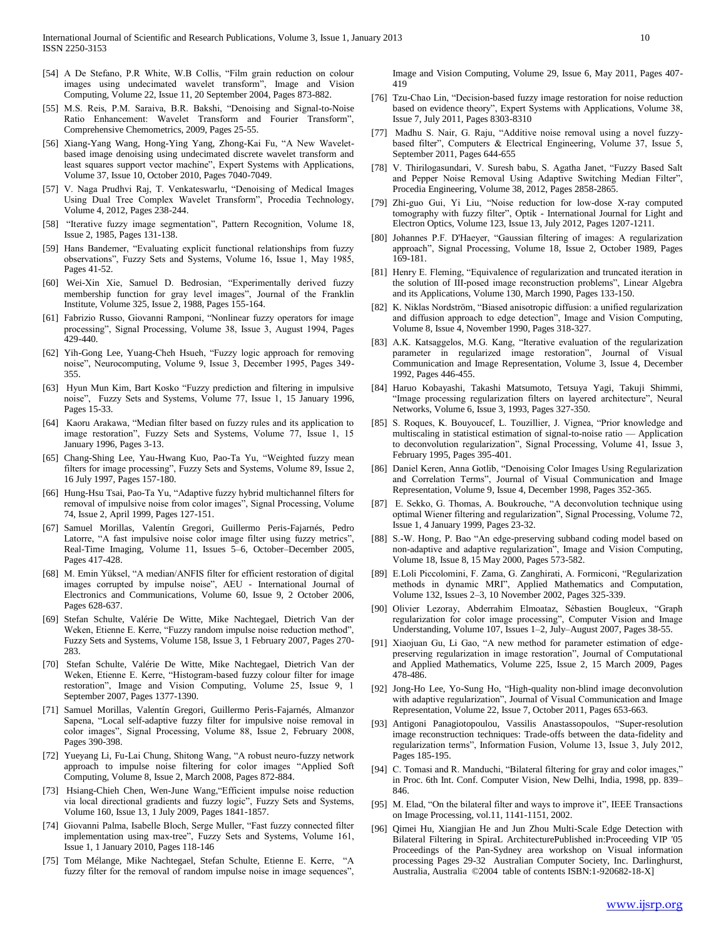- [54] A De Stefano, P.R White, W.B Collis, "Film grain reduction on colour images using undecimated wavelet transform", Image and Vision Computing, Volume 22, Issue 11, 20 September 2004, Pages 873-882.
- [55] M.S. Reis, P.M. Saraiva, B.R. Bakshi, "Denoising and Signal-to-Noise Ratio Enhancement: Wavelet Transform and Fourier Transform", Comprehensive Chemometrics, 2009, Pages 25-55.
- [56] Xiang-Yang Wang, Hong-Ying Yang, Zhong-Kai Fu, "A New Waveletbased image denoising using undecimated discrete wavelet transform and least squares support vector machine", Expert Systems with Applications, Volume 37, Issue 10, October 2010, Pages 7040-7049.
- [57] V. Naga Prudhvi Raj, T. Venkateswarlu, "Denoising of Medical Images Using Dual Tree Complex Wavelet Transform", Procedia Technology, Volume 4, 2012, Pages 238-244.
- [58] "Iterative fuzzy image segmentation", Pattern Recognition, Volume 18, Issue 2, 1985, Pages 131-138.
- [59] Hans Bandemer, "Evaluating explicit functional relationships from fuzzy observations", Fuzzy Sets and Systems, Volume 16, Issue 1, May 1985, Pages 41-52.
- [60] Wei-Xin Xie, Samuel D. Bedrosian, "Experimentally derived fuzzy membership function for gray level images", Journal of the Franklin Institute, Volume 325, Issue 2, 1988, Pages 155-164.
- [61] Fabrizio Russo, Giovanni Ramponi, "Nonlinear fuzzy operators for image processing", Signal Processing, Volume 38, Issue 3, August 1994, Pages 429-440.
- [62] Yih-Gong Lee, Yuang-Cheh Hsueh, "Fuzzy logic approach for removing noise", Neurocomputing, Volume 9, Issue 3, December 1995, Pages 349- 355.
- [63] Hyun Mun Kim, Bart Kosko "Fuzzy prediction and filtering in impulsive noise", Fuzzy Sets and Systems, Volume 77, Issue 1, 15 January 1996, Pages 15-33.
- [64] Kaoru Arakawa, "Median filter based on fuzzy rules and its application to image restoration", Fuzzy Sets and Systems, Volume 77, Issue 1, 15 January 1996, Pages 3-13.
- [65] Chang-Shing Lee, Yau-Hwang Kuo, Pao-Ta Yu, "Weighted fuzzy mean filters for image processing", Fuzzy Sets and Systems, Volume 89, Issue 2, 16 July 1997, Pages 157-180.
- [66] Hung-Hsu Tsai, Pao-Ta Yu, "Adaptive fuzzy hybrid multichannel filters for removal of impulsive noise from color images", Signal Processing, Volume 74, Issue 2, April 1999, Pages 127-151.
- [67] Samuel Morillas, Valentín Gregori, Guillermo Peris-Fajarnés, Pedro Latorre, "A fast impulsive noise color image filter using fuzzy metrics", Real-Time Imaging, Volume 11, Issues 5–6, October–December 2005, Pages 417-428.
- [68] M. Emin Yüksel, "A median/ANFIS filter for efficient restoration of digital images corrupted by impulse noise", AEU - International Journal of Electronics and Communications, Volume 60, Issue 9, 2 October 2006, Pages 628-637.
- [69] Stefan Schulte, Valérie De Witte, Mike Nachtegael, Dietrich Van der Weken, Etienne E. Kerre, "Fuzzy random impulse noise reduction method", Fuzzy Sets and Systems, Volume 158, Issue 3, 1 February 2007, Pages 270- 283.
- [70] Stefan Schulte, Valérie De Witte, Mike Nachtegael, Dietrich Van der Weken, Etienne E. Kerre, "Histogram-based fuzzy colour filter for image restoration", Image and Vision Computing, Volume 25, Issue 9, 1 September 2007, Pages 1377-1390.
- [71] Samuel Morillas, Valentín Gregori, Guillermo Peris-Fajarnés, Almanzor Sapena, "Local self-adaptive fuzzy filter for impulsive noise removal in color images", Signal Processing, Volume 88, Issue 2, February 2008, Pages 390-398.
- [72] Yueyang Li, Fu-Lai Chung, Shitong Wang, "A robust neuro-fuzzy network approach to impulse noise filtering for color images "Applied Soft Computing, Volume 8, Issue 2, March 2008, Pages 872-884.
- [73] Hsiang-Chieh Chen, Wen-June Wang, "Efficient impulse noise reduction via local directional gradients and fuzzy logic", Fuzzy Sets and Systems, Volume 160, Issue 13, 1 July 2009, Pages 1841-1857.
- [74] Giovanni Palma, Isabelle Bloch, Serge Muller, "Fast fuzzy connected filter implementation using max-tree", Fuzzy Sets and Systems, Volume 161, Issue 1, 1 January 2010, Pages 118-146
- [75] Tom Mélange, Mike Nachtegael, Stefan Schulte, Etienne E. Kerre, "A fuzzy filter for the removal of random impulse noise in image sequences",

Image and Vision Computing, Volume 29, Issue 6, May 2011, Pages 407- 419

- [76] Tzu-Chao Lin, "Decision-based fuzzy image restoration for noise reduction based on evidence theory", Expert Systems with Applications, Volume 38, Issue 7, July 2011, Pages 8303-8310
- [77] Madhu S. Nair, G. Raju, "Additive noise removal using a novel fuzzybased filter", Computers & Electrical Engineering, Volume 37, Issue 5, September 2011, Pages 644-655
- [78] V. Thirilogasundari, V. Suresh babu, S. Agatha Janet, "Fuzzy Based Salt and Pepper Noise Removal Using Adaptive Switching Median Filter", Procedia Engineering, Volume 38, 2012, Pages 2858-2865.
- [79] Zhi-guo Gui, Yi Liu, "Noise reduction for low-dose X-ray computed tomography with fuzzy filter", Optik - International Journal for Light and Electron Optics, Volume 123, Issue 13, July 2012, Pages 1207-1211.
- [80] Johannes P.F. D'Haeyer, "Gaussian filtering of images: A regularization approach", Signal Processing, Volume 18, Issue 2, October 1989, Pages 169-181.
- [81] Henry E. Fleming, "Equivalence of regularization and truncated iteration in the solution of III-posed image reconstruction problems", Linear Algebra and its Applications, Volume 130, March 1990, Pages 133-150.
- [82] K. Niklas Nordström, "Biased anisotropic diffusion: a unified regularization and diffusion approach to edge detection", Image and Vision Computing, Volume 8, Issue 4, November 1990, Pages 318-327.
- [83] A.K. Katsaggelos, M.G. Kang, "Iterative evaluation of the regularization parameter in regularized image restoration", Journal of Visual Communication and Image Representation, Volume 3, Issue 4, December 1992, Pages 446-455.
- [84] Haruo Kobayashi, Takashi Matsumoto, Tetsuya Yagi, Takuji Shimmi, "Image processing regularization filters on layered architecture", Neural Networks, Volume 6, Issue 3, 1993, Pages 327-350.
- [85] S. Roques, K. Bouyoucef, L. Touzillier, J. Vignea, "Prior knowledge and multiscaling in statistical estimation of signal-to-noise ratio — Application to deconvolution regularization", Signal Processing, Volume 41, Issue 3, February 1995, Pages 395-401.
- [86] Daniel Keren, Anna Gotlib, "Denoising Color Images Using Regularization and Correlation Terms", Journal of Visual Communication and Image Representation, Volume 9, Issue 4, December 1998, Pages 352-365.
- [87] E. Sekko, G. Thomas, A. Boukrouche, "A deconvolution technique using optimal Wiener filtering and regularization", Signal Processing, Volume 72, Issue 1, 4 January 1999, Pages 23-32.
- [88] S.-W. Hong, P. Bao "An edge-preserving subband coding model based on non-adaptive and adaptive regularization", Image and Vision Computing, Volume 18, Issue 8, 15 May 2000, Pages 573-582.
- [89] E.Loli Piccolomini, F. Zama, G. Zanghirati, A. Formiconi, "Regularization methods in dynamic MRI", Applied Mathematics and Computation, Volume 132, Issues 2–3, 10 November 2002, Pages 325-339.
- [90] Olivier Lezoray, Abderrahim Elmoataz, Sébastien Bougleux, "Graph regularization for color image processing", Computer Vision and Image Understanding, Volume 107, Issues 1–2, July–August 2007, Pages 38-55.
- [91] Xiaojuan Gu, Li Gao, "A new method for parameter estimation of edgepreserving regularization in image restoration", Journal of Computational and Applied Mathematics, Volume 225, Issue 2, 15 March 2009, Pages 478-486.
- [92] Jong-Ho Lee, Yo-Sung Ho, "High-quality non-blind image deconvolution with adaptive regularization", Journal of Visual Communication and Image Representation, Volume 22, Issue 7, October 2011, Pages 653-663.
- [93] Antigoni Panagiotopoulou, Vassilis Anastassopoulos, "Super-resolution image reconstruction techniques: Trade-offs between the data-fidelity and regularization terms", Information Fusion, Volume 13, Issue 3, July 2012, Pages 185-195.
- [94] C. Tomasi and R. Manduchi, "Bilateral filtering for gray and color images," in Proc. 6th Int. Conf. Computer Vision, New Delhi, India, 1998, pp. 839– 846.
- [95] M. Elad, "On the bilateral filter and ways to improve it", IEEE Transactions on Image Processing, vol.11, 1141-1151, 2002.
- [96] Qimei Hu, Xiangjian He and Jun Zhou Multi-Scale Edge Detection with Bilateral Filtering in SpiraL ArchitecturePublished in:Proceeding VIP '05 Proceedings of the Pan-Sydney area workshop on Visual information processing Pages 29-32 Australian Computer Society, Inc. Darlinghurst, Australia, Australia ©2004 table of contents ISBN:1-920682-18-X]